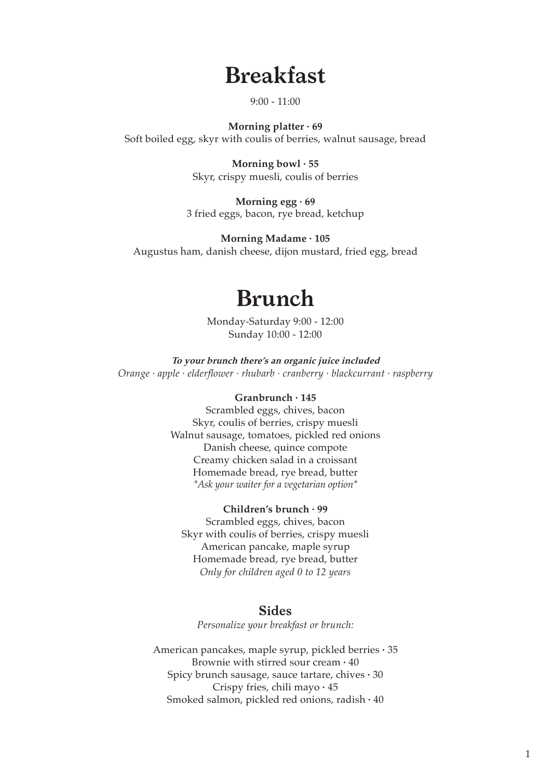# **Breakfast**

 $9:00 - 11:00$ 

**Morning platter · 69** Soft boiled egg, skyr with coulis of berries, walnut sausage, bread

> **Morning bowl · 55** Skyr, crispy muesli, coulis of berries

**Morning egg · 69** 3 fried eggs, bacon, rye bread, ketchup

**Morning Madame · 105** Augustus ham, danish cheese, dijon mustard, fried egg, bread

# **Brunch**

Monday-Saturday 9:00 - 12:00 Sunday 10:00 - 12:00

**To your brunch there's an organic juice included** *Orange · apple · elderflower · rhubarb · cranberry · blackcurrant · raspberry*

#### **Granbrunch · 145**

Scrambled eggs, chives, bacon Skyr, coulis of berries, crispy muesli Walnut sausage, tomatoes, pickled red onions Danish cheese, quince compote Creamy chicken salad in a croissant Homemade bread, rye bread, butter *\*Ask your waiter for a vegetarian option\**

#### **Children's brunch · 99**

Scrambled eggs, chives, bacon Skyr with coulis of berries, crispy muesli American pancake, maple syrup Homemade bread, rye bread, butter *Only for children aged 0 to 12 years*

#### **Sides**

*Personalize your breakfast or brunch:*

American pancakes, maple syrup, pickled berries **·** 35 Brownie with stirred sour cream **·** 40 Spicy brunch sausage, sauce tartare, chives **·** 30 Crispy fries, chili mayo **·** 45 Smoked salmon, pickled red onions, radish **·** 40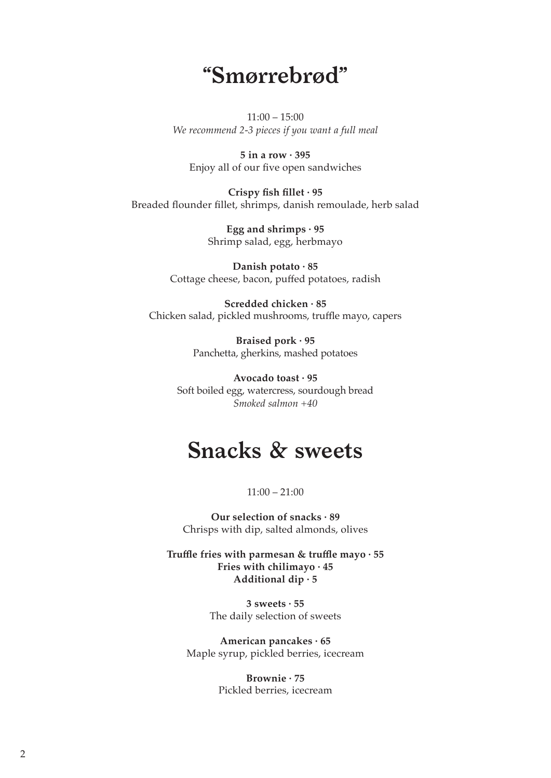# **"Smørrebrød"**

 $11:00 - 15:00$ *We recommend 2-3 pieces if you want a full meal*

**5 in a row · 395** Enjoy all of our five open sandwiches

**Crispy fish fillet · 95** Breaded flounder fillet, shrimps, danish remoulade, herb salad

> **Egg and shrimps · 95** Shrimp salad, egg, herbmayo

**Danish potato · 85** Cottage cheese, bacon, puffed potatoes, radish

**Scredded chicken · 85** Chicken salad, pickled mushrooms, truffle mayo, capers

> **Braised pork · 95** Panchetta, gherkins, mashed potatoes

**Avocado toast · 95** Soft boiled egg, watercress, sourdough bread *Smoked salmon +40*

## **Snacks & sweets**

 $11:00 - 21:00$ 

**Our selection of snacks · 89** Chrisps with dip, salted almonds, olives

**Truffle fries with parmesan & truffle mayo · 55 Fries with chilimayo · 45 Additional dip · 5**

> **3 sweets · 55** The daily selection of sweets

**American pancakes · 65** Maple syrup, pickled berries, icecream

> **Brownie · 75** Pickled berries, icecream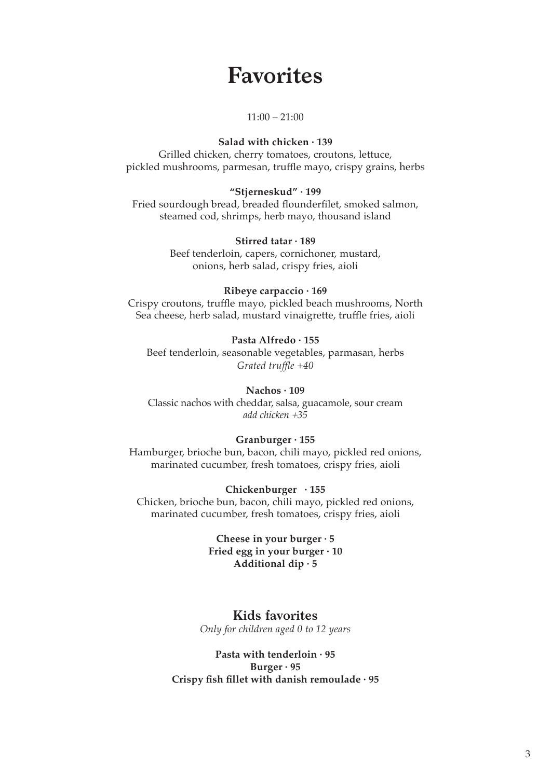## **Favorites**

#### $11:00 - 21:00$

#### **Salad with chicken · 139**

Grilled chicken, cherry tomatoes, croutons, lettuce, pickled mushrooms, parmesan, truffle mayo, crispy grains, herbs

#### **"Stjerneskud" · 199**

Fried sourdough bread, breaded flounderfilet, smoked salmon, steamed cod, shrimps, herb mayo, thousand island

#### **Stirred tatar · 189**

Beef tenderloin, capers, cornichoner, mustard, onions, herb salad, crispy fries, aioli

#### **Ribeye carpaccio · 169**

Crispy croutons, truffle mayo, pickled beach mushrooms, North Sea cheese, herb salad, mustard vinaigrette, truffle fries, aioli

#### **Pasta Alfredo · 155**

Beef tenderloin, seasonable vegetables, parmasan, herbs *Grated truffle +40*

#### **Nachos · 109**

Classic nachos with cheddar, salsa, guacamole, sour cream *add chicken +35*

#### **Granburger · 155**

Hamburger, brioche bun, bacon, chili mayo, pickled red onions, marinated cucumber, fresh tomatoes, crispy fries, aioli

#### **Chickenburger · 155**

Chicken, brioche bun, bacon, chili mayo, pickled red onions, marinated cucumber, fresh tomatoes, crispy fries, aioli

> **Cheese in your burger · 5 Fried egg in your burger · 10 Additional dip · 5**

#### **Kids favorites**

*Only for children aged 0 to 12 years*

#### **Pasta with tenderloin · 95 Burger · 95 Crispy fish fillet with danish remoulade · 95**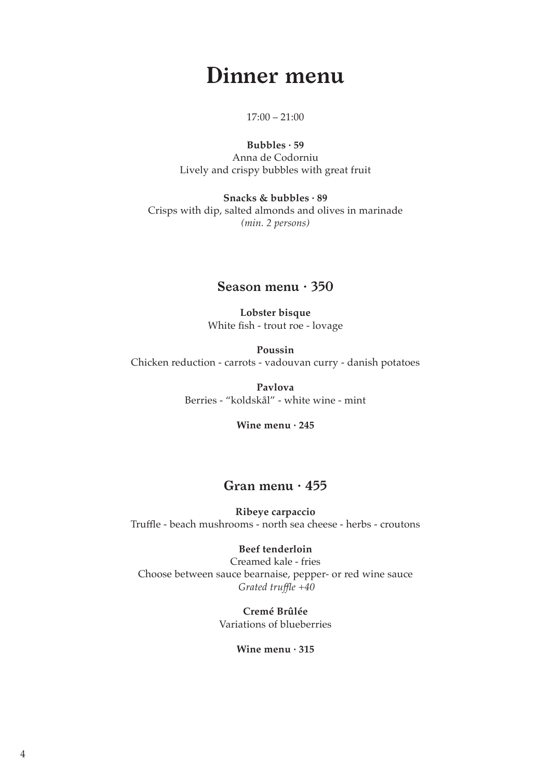# **Dinner menu**

#### $17:00 - 21:00$

**Bubbles · 59** Anna de Codorniu Lively and crispy bubbles with great fruit

**Snacks & bubbles · 89** Crisps with dip, salted almonds and olives in marinade *(min. 2 persons)*

#### **Season menu · 350**

**Lobster bisque**  White fish - trout roe - lovage

**Poussin** Chicken reduction - carrots - vadouvan curry - danish potatoes

> **Pavlova**  Berries - "koldskål" - white wine - mint

> > **Wine menu · 245**

### **Gran menu · 455**

**Ribeye carpaccio** Truffle - beach mushrooms - north sea cheese - herbs - croutons

#### **Beef tenderloin**

Creamed kale - fries Choose between sauce bearnaise, pepper- or red wine sauce *Grated truffle +40*

> **Cremé Brûlée** Variations of blueberries

> > **Wine menu · 315**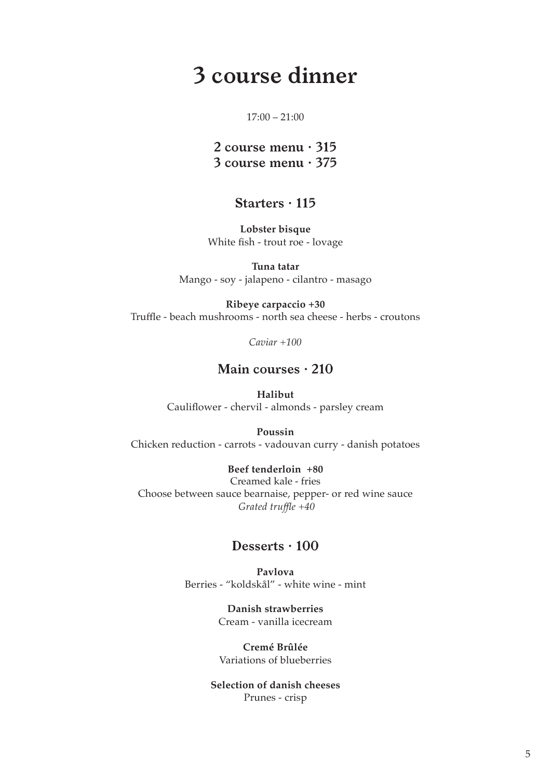# **3 course dinner**

#### $17:00 - 21:00$

### **2 course menu · 315 3 course menu · 375**

### **Starters · 115**

**Lobster bisque**  White fish - trout roe - lovage

**Tuna tatar** Mango - soy - jalapeno - cilantro - masago

**Ribeye carpaccio +30** Truffle - beach mushrooms - north sea cheese - herbs - croutons

*Caviar +100*

#### **Main courses · 210**

**Halibut** Cauliflower - chervil - almonds - parsley cream

**Poussin** Chicken reduction - carrots - vadouvan curry - danish potatoes

**Beef tenderloin +80** Creamed kale - fries Choose between sauce bearnaise, pepper- or red wine sauce *Grated truffle +40*

### **Desserts · 100**

**Pavlova**  Berries - "koldskål" - white wine - mint

> **Danish strawberries** Cream - vanilla icecream

**Cremé Brûlée** Variations of blueberries

**Selection of danish cheeses**  Prunes - crisp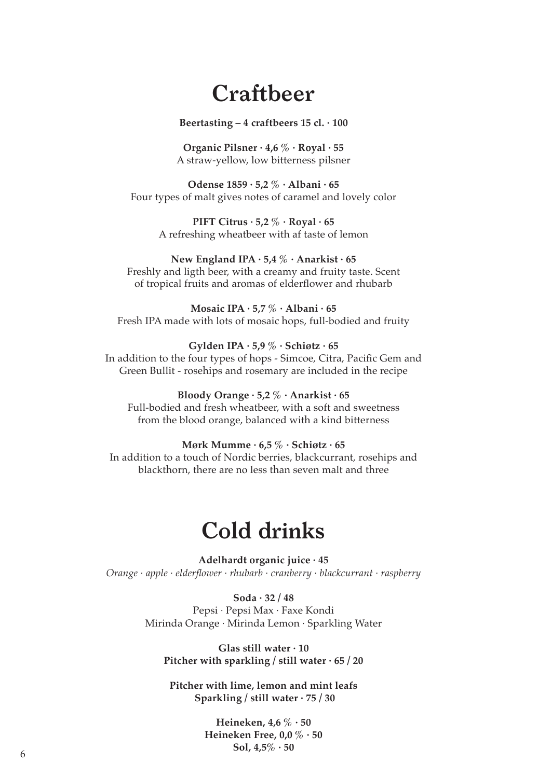# **Craftbeer**

#### **Beertasting – 4 craftbeers 15 cl. · 100**

**Organic Pilsner · 4,6 % · Royal · 55** A straw-yellow, low bitterness pilsner

**Odense 1859 · 5,2 % · Albani · 65** Four types of malt gives notes of caramel and lovely color

> **PIFT Citrus · 5,2 % · Royal · 65** A refreshing wheatbeer with af taste of lemon

#### **New England IPA · 5,4 % · Anarkist · 65** Freshly and ligth beer, with a creamy and fruity taste. Scent of tropical fruits and aromas of elderflower and rhubarb

**Mosaic IPA · 5,7 % · Albani · 65** Fresh IPA made with lots of mosaic hops, full-bodied and fruity

**Gylden IPA · 5,9 % · Schiøtz · 65** In addition to the four types of hops - Simcoe, Citra, Pacific Gem and Green Bullit - rosehips and rosemary are included in the recipe

#### **Bloody Orange · 5,2 % · Anarkist · 65** Full-bodied and fresh wheatbeer, with a soft and sweetness from the blood orange, balanced with a kind bitterness

#### **Mørk Mumme · 6,5 % · Schiøtz · 65**

In addition to a touch of Nordic berries, blackcurrant, rosehips and blackthorn, there are no less than seven malt and three

# **Cold drinks**

**Adelhardt organic juice · 45** *Orange · apple · elderflower · rhubarb · cranberry · blackcurrant · raspberry*

> **Soda · 32 / 48** Pepsi *·* Pepsi Max *·* Faxe Kondi Mirinda Orange *·* Mirinda Lemon *·* Sparkling Water

**Glas still water · 10 Pitcher with sparkling / still water · 65 / 20**

**Pitcher with lime, lemon and mint leafs Sparkling / still water · 75 / 30**

**Heineken, 4,6 % · 50 Heineken Free, 0,0 % · 50 Sol, 4,5% · 50** <sup>6</sup>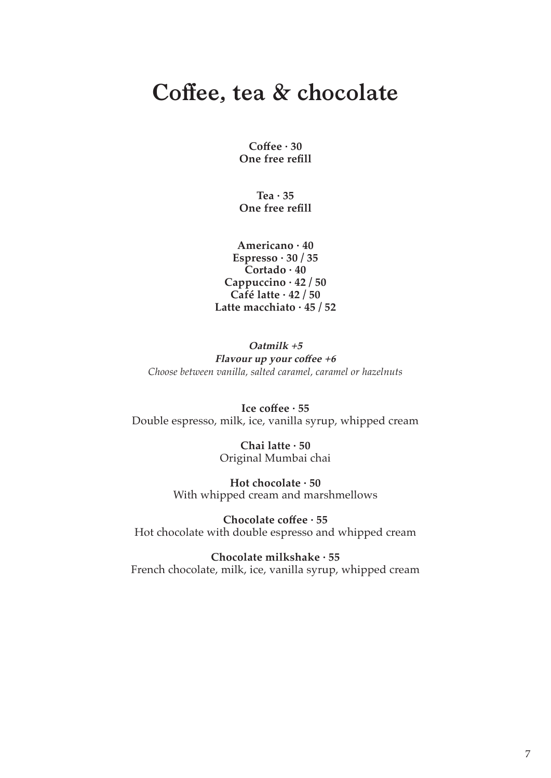# **Coffee, tea & chocolate**

**Coffee · 30 One free refill**

**Tea · 35 One free refill**

**Americano · 40 Espresso · 30 / 35 Cortado · 40 Cappuccino · 42 / 50 Café latte · 42 / 50 Latte macchiato · 45 / 52**

**Oatmilk +5 Flavour up your coffee +6** *Choose between vanilla, salted caramel, caramel or hazelnuts*

**Ice coffee · 55** Double espresso, milk, ice, vanilla syrup, whipped cream

> **Chai latte · 50** Original Mumbai chai

**Hot chocolate · 50** With whipped cream and marshmellows

**Chocolate coffee · 55** Hot chocolate with double espresso and whipped cream

**Chocolate milkshake · 55** French chocolate, milk, ice, vanilla syrup, whipped cream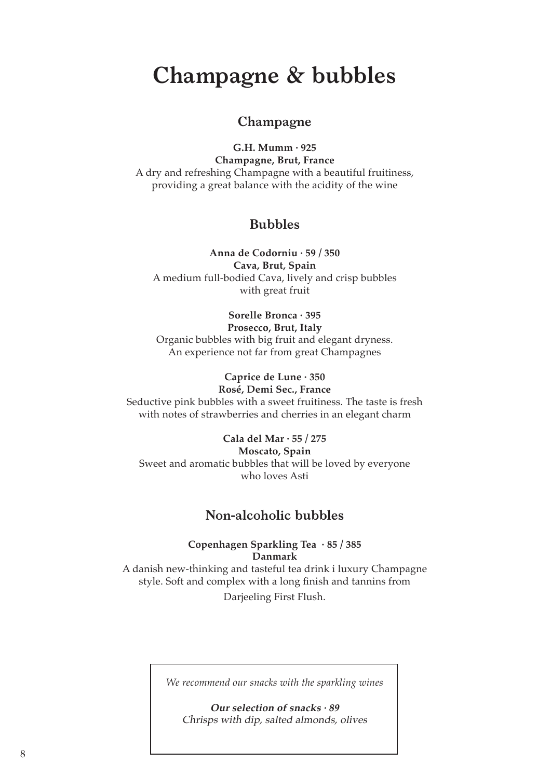# **Champagne & bubbles**

### **Champagne**

**G.H. Mumm · 925 Champagne, Brut, France** A dry and refreshing Champagne with a beautiful fruitiness, providing a great balance with the acidity of the wine

### **Bubbles**

**Anna de Codorniu · 59 / 350 Cava, Brut, Spain** A medium full-bodied Cava, lively and crisp bubbles with great fruit

#### **Sorelle Bronca · 395**

#### **Prosecco, Brut, Italy**

Organic bubbles with big fruit and elegant dryness. An experience not far from great Champagnes

#### **Caprice de Lune · 350 Rosé, Demi Sec., France**

Seductive pink bubbles with a sweet fruitiness. The taste is fresh with notes of strawberries and cherries in an elegant charm

#### **Cala del Mar · 55 / 275**

**Moscato, Spain** Sweet and aromatic bubbles that will be loved by everyone who loves Asti

### **Non-alcoholic bubbles**

**Copenhagen Sparkling Tea · 85 / 385 Danmark** 

A danish new-thinking and tasteful tea drink i luxury Champagne style. Soft and complex with a long finish and tannins from Darjeeling First Flush.

*We recommend our snacks with the sparkling wines*

**Our selection of snacks · 89** Chrisps with dip, salted almonds, olives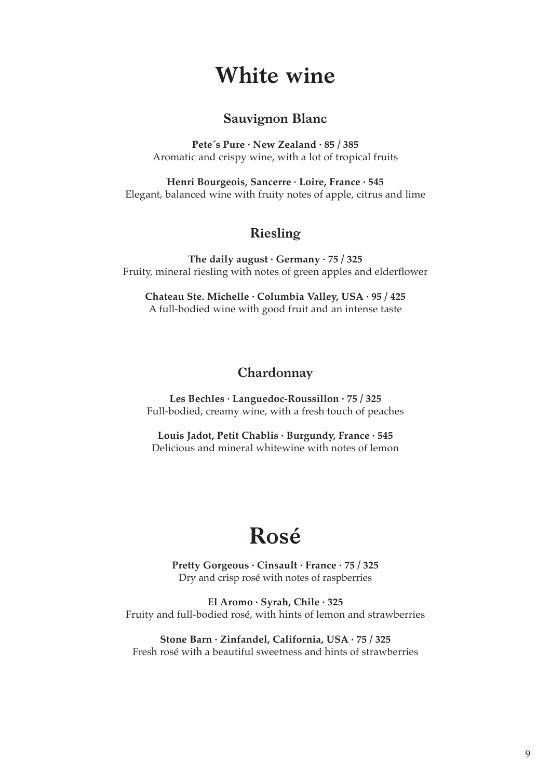## **White wine**

### **Sauvignon Blanc**

**Pete´s Pure · New Zealand · 85 / 385** Aromatic and crispy wine, with a lot of tropical fruits

**Henri Bourgeois, Sancerre · Loire, France · 545** Elegant, balanced wine with fruity notes of apple, citrus and lime

### **Riesling**

**The daily august · Germany · 75 / 325** Fruity, mineral riesling with notes of green apples and elderflower

**Chateau Ste. Michelle · Columbia Valley, USA · 95 / 425** A full-bodied wine with good fruit and an intense taste

### **Chardonnay**

**Les Bechles · Languedoc-Roussillon · 75 / 325** Full-bodied, creamy wine, with a fresh touch of peaches

**Louis Jadot, Petit Chablis · Burgundy, France · 545** Delicious and mineral whitewine with notes of lemon

# **Rosé**

**Pretty Gorgeous · Cinsault · France · 75 / 325** Dry and crisp rosé with notes of raspberries

**El Aromo · Syrah, Chile · 325** Fruity and full-bodied rosé, with hints of lemon and strawberries

**Stone Barn · Zinfandel, California, USA · 75 / 325** Fresh rosé with a beautiful sweetness and hints of strawberries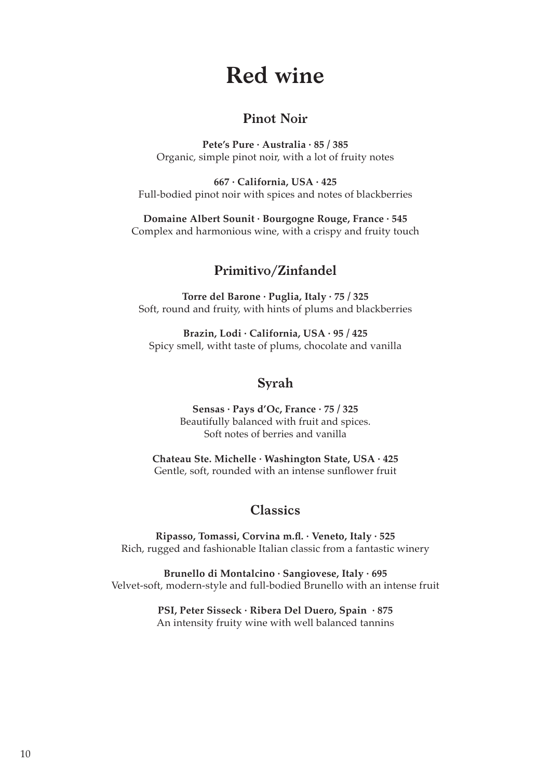# **Red wine**

### **Pinot Noir**

**Pete's Pure · Australia · 85 / 385** Organic, simple pinot noir, with a lot of fruity notes

**667 · California, USA · 425** Full-bodied pinot noir with spices and notes of blackberries

**Domaine Albert Sounit · Bourgogne Rouge, France · 545** Complex and harmonious wine, with a crispy and fruity touch

### **Primitivo/Zinfandel**

**Torre del Barone · Puglia, Italy · 75 / 325** Soft, round and fruity, with hints of plums and blackberries

**Brazin, Lodi · California, USA · 95 / 425** Spicy smell, witht taste of plums, chocolate and vanilla

### **Syrah**

**Sensas · Pays d'Oc, France · 75 / 325** Beautifully balanced with fruit and spices. Soft notes of berries and vanilla

**Chateau Ste. Michelle · Washington State, USA · 425** Gentle, soft, rounded with an intense sunflower fruit

### **Classics**

**Ripasso, Tomassi, Corvina m.fl. · Veneto, Italy · 525** Rich, rugged and fashionable Italian classic from a fantastic winery

**Brunello di Montalcino · Sangiovese, Italy · 695** Velvet-soft, modern-style and full-bodied Brunello with an intense fruit

> **PSI, Peter Sisseck · Ribera Del Duero, Spain · 875** An intensity fruity wine with well balanced tannins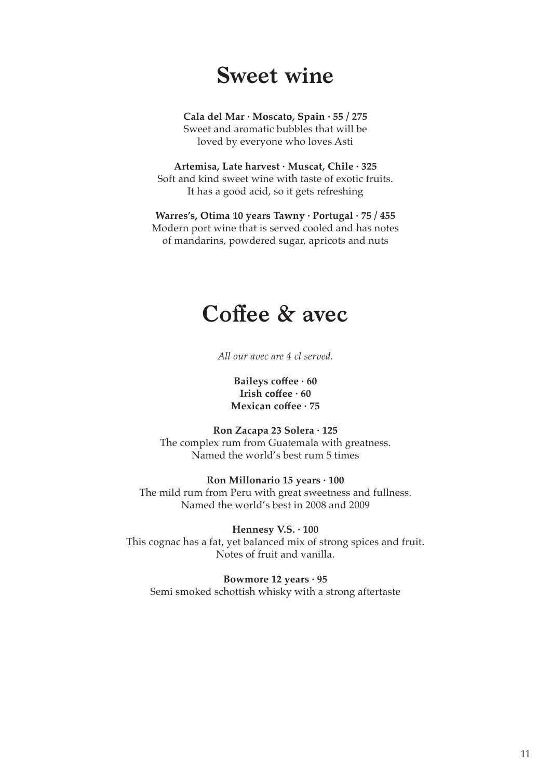# **Sweet wine**

**Cala del Mar · Moscato, Spain · 55 / 275** Sweet and aromatic bubbles that will be loved by everyone who loves Asti

**Artemisa, Late harvest · Muscat, Chile · 325**  Soft and kind sweet wine with taste of exotic fruits. It has a good acid, so it gets refreshing

**Warres's, Otima 10 years Tawny · Portugal · 75 / 455** Modern port wine that is served cooled and has notes of mandarins, powdered sugar, apricots and nuts

## **Coffee & avec**

*All our avec are 4 cl served.*

**Baileys coffee · 60 Irish coffee · 60 Mexican coffee · 75**

**Ron Zacapa 23 Solera · 125** The complex rum from Guatemala with greatness. Named the world's best rum 5 times

**Ron Millonario 15 years · 100** The mild rum from Peru with great sweetness and fullness. Named the world's best in 2008 and 2009

**Hennesy V.S. · 100** This cognac has a fat, yet balanced mix of strong spices and fruit. Notes of fruit and vanilla.

**Bowmore 12 years · 95** Semi smoked schottish whisky with a strong aftertaste